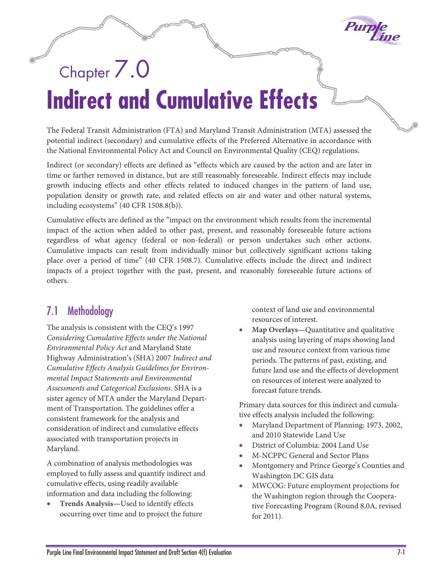

# Chapter 7.0 **Indirect and Cumulative Effects**

The Federal Transit Administration (FTA) and Maryland Transit Administration (MTA) assessed the potential indirect (secondary) and cumulative effects of the Preferred Alternative in accordance with the National Environmental Policy Act and Council on Environmental Quality (CEQ) regulations.

Indirect (or secondary) effects are defined as "effects which are caused by the action and are later in time or farther removed in distance, but are still reasonably foreseeable. Indirect effects may include growth inducing effects and other effects related to induced changes in the pattern of land use, population density or growth rate, and related effects on air and water and other natural systems, including ecosystems" (40 CFR 1508.8(b)).

Cumulative effects are defined as the "impact on the environment which results from the incremental impact of the action when added to other past, present, and reasonably foreseeable future actions regardless of what agency (federal or non-federal) or person undertakes such other actions. Cumulative impacts can result from individually minor but collectively significant actions taking place over a period of time" (40 CFR 1508.7). Cumulative effects include the direct and indirect impacts of a project together with the past, present, and reasonably foreseeable future actions of others.

# 7.1 Methodology

The analysis is consistent with the CEQ's 1997 *Considering Cumulative Effects under the National Environmental Policy Act* and Maryland State Highway Administration's (SHA) 2007 *Indirect and Cumulative Effects Analysis Guidelines for Environmental Impact Statements and Environmental Assessments and Categorical Exclusions*. SHA is a sister agency of MTA under the Maryland Department of Transportation. The guidelines offer a consistent framework for the analysis and consideration of indirect and cumulative effects associated with transportation projects in Maryland.

A combination of analysis methodologies was employed to fully assess and quantify indirect and cumulative effects, using readily available information and data including the following:

• **Trends Analysis—**Used to identify effects occurring over time and to project the future context of land use and environmental resources of interest.

• **Map Overlays—**Quantitative and qualitative analysis using layering of maps showing land use and resource context from various time periods. The patterns of past, existing, and future land use and the effects of development on resources of interest were analyzed to forecast future trends.

Primary data sources for this indirect and cumulative effects analysis included the following:

- Maryland Department of Planning: 1973, 2002, and 2010 Statewide Land Use
- District of Columbia: 2004 Land Use
- M-NCPPC General and Sector Plans
- Montgomery and Prince George's Counties and Washington DC GIS data
- MWCOG: Future employment projections for the Washington region through the Cooperative Forecasting Program (Round 8.0A, revised for 2011).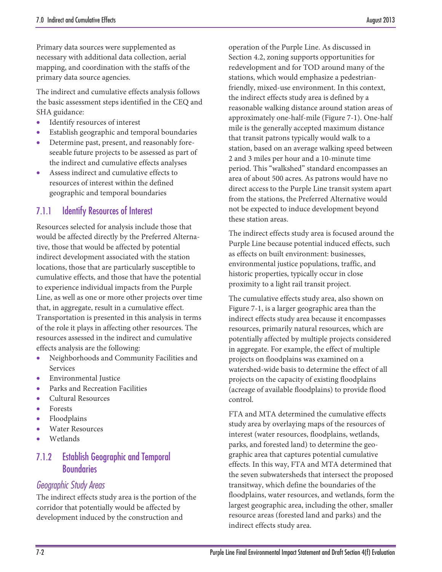Primary data sources were supplemented as necessary with additional data collection, aerial mapping, and coordination with the staffs of the primary data source agencies.

The indirect and cumulative effects analysis follows the basic assessment steps identified in the CEQ and SHA guidance:

- Identify resources of interest
- Establish geographic and temporal boundaries
- Determine past, present, and reasonably foreseeable future projects to be assessed as part of the indirect and cumulative effects analyses
- Assess indirect and cumulative effects to resources of interest within the defined geographic and temporal boundaries

# 7.1.1 Identify Resources of Interest

Resources selected for analysis include those that would be affected directly by the Preferred Alternative, those that would be affected by potential indirect development associated with the station locations, those that are particularly susceptible to cumulative effects, and those that have the potential to experience individual impacts from the Purple Line, as well as one or more other projects over time that, in aggregate, result in a cumulative effect. Transportation is presented in this analysis in terms of the role it plays in affecting other resources. The resources assessed in the indirect and cumulative effects analysis are the following:

- Neighborhoods and Community Facilities and Services
- Environmental Justice
- Parks and Recreation Facilities
- Cultural Resources
- **Forests**
- Floodplains
- **Water Resources**
- Wetlands

## 7.1.2 Establish Geographic and Temporal Boundaries

#### *Geographic Study Areas*

The indirect effects study area is the portion of the corridor that potentially would be affected by development induced by the construction and

operation of the Purple Line. As discussed in Section 4.2, zoning supports opportunities for redevelopment and for TOD around many of the stations, which would emphasize a pedestrianfriendly, mixed-use environment. In this context, the indirect effects study area is defined by a reasonable walking distance around station areas of approximately one-half-mile [\(Figure 7-1\)](#page-2-0). One-half mile is the generally accepted maximum distance that transit patrons typically would walk to a station, based on an average walking speed between 2 and 3 miles per hour and a 10-minute time period. This "walkshed" standard encompasses an area of about 500 acres. As patrons would have no direct access to the Purple Line transit system apart from the stations, the Preferred Alternative would not be expected to induce development beyond these station areas.

The indirect effects study area is focused around the Purple Line because potential induced effects, such as effects on built environment: businesses, environmental justice populations, traffic, and historic properties, typically occur in close proximity to a light rail transit project.

The cumulative effects study area, also shown on [Figure 7-1,](#page-2-0) is a larger geographic area than the indirect effects study area because it encompasses resources, primarily natural resources, which are potentially affected by multiple projects considered in aggregate. For example, the effect of multiple projects on floodplains was examined on a watershed-wide basis to determine the effect of all projects on the capacity of existing floodplains (acreage of available floodplains) to provide flood control.

FTA and MTA determined the cumulative effects study area by overlaying maps of the resources of interest (water resources, floodplains, wetlands, parks, and forested land) to determine the geographic area that captures potential cumulative effects. In this way, FTA and MTA determined that the seven subwatersheds that intersect the proposed transitway, which define the boundaries of the floodplains, water resources, and wetlands, form the largest geographic area, including the other, smaller resource areas (forested land and parks) and the indirect effects study area.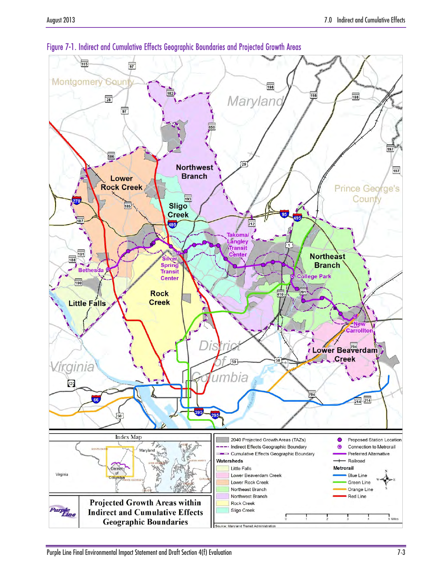

<span id="page-2-0"></span>Figure 7-1. Indirect and Cumulative Effects Geographic Boundaries and Projected Growth Areas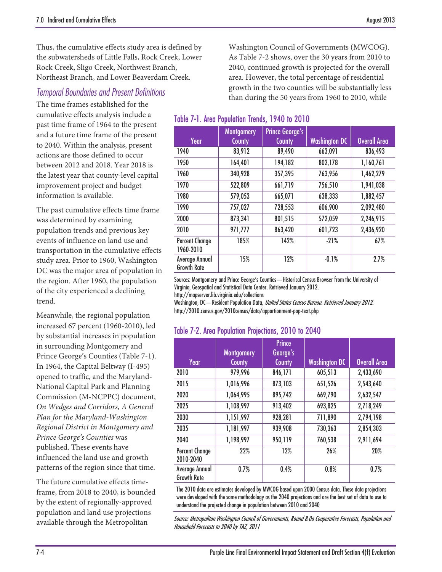Thus, the cumulative effects study area is defined by the subwatersheds of Little Falls, Rock Creek, Lower Rock Creek, Sligo Creek, Northwest Branch, Northeast Branch, and Lower Beaverdam Creek.

#### *Temporal Boundaries and Present Definitions*

The time frames established for the cumulative effects analysis include a past time frame of 1964 to the present and a future time frame of the present to 2040. Within the analysis, present actions are those defined to occur between 2012 and 2018. Year 2018 is the latest year that county-level capital improvement project and budget information is available.

The past cumulative effects time frame was determined by examining population trends and previous key events of influence on land use and transportation in the cumulative effects study area. Prior to 1960, Washington DC was the major area of population in the region. After 1960, the population of the city experienced a declining trend.

Meanwhile, the regional population increased 67 percent (1960-2010), led by substantial increases in population in surrounding Montgomery and Prince George's Counties [\(Table 7-1\)](#page-3-0). In 1964, the Capital Beltway (I-495) opened to traffic, and the Maryland-National Capital Park and Planning Commission (M-NCPPC) document, *On Wedges and Corridors, A General Plan for the Maryland-Washington Regional District in Montgomery and Prince George's Counties* was published. These events have influenced the land use and growth patterns of the region since that time.

The future cumulative effects timeframe, from 2018 to 2040, is bounded by the extent of regionally-approved population and land use projections available through the Metropolitan

Washington Council of Governments (MWCOG). As [Table 7-2](#page-3-1) shows, over the 30 years from 2010 to 2040, continued growth is projected for the overall area. However, the total percentage of residential growth in the two counties will be substantially less than during the 50 years from 1960 to 2010, while

#### <span id="page-3-0"></span>Table 7-1. Area Population Trends, 1940 to 2010

| Year                                 | <b>Montgomery</b><br>County | <b>Prince George's</b><br>County | <b>Washington DC</b> | <b>Overall Area</b> |
|--------------------------------------|-----------------------------|----------------------------------|----------------------|---------------------|
| 1940                                 | 83,912                      | 89,490                           | 663,091              | 836,493             |
| 1950                                 | 164,401                     | 194,182                          | 802,178              | 1,160,761           |
| 1960                                 | 340,928                     | 357,395                          | 763,956              | 1,462,279           |
| 1970                                 | 522,809                     | 661,719                          | 756,510              | 1,941,038           |
| 1980                                 | 579,053                     | 665,071                          | 638,333              | 1,882,457           |
| 1990                                 | 757,027                     | 728,553                          | 606,900              | 2,092,480           |
| 2000                                 | 873,341                     | 801,515                          | 572,059              | 2,246,915           |
| 2010                                 | 971,777                     | 863,420                          | 601,723              | 2,436,920           |
| <b>Percent Change</b><br>1960-2010   | 185%                        | 142%                             | $-21%$               | 67%                 |
| Average Annual<br><b>Growth Rate</b> | 15%                         | 12%                              | $-0.1%$              | 2.7%                |

Sources: Montgomery and Prince George's Counties—Historical Census Browser from the University of Virginia, Geospatial and Statistical Data Center. Retrieved January 2012.

http://mapserver.lib.virginia.edu/collections

Washington, DC—Resident Population Data, United States Census Bureau. Retrieved January 2012. <http://2010.census.gov/2010census/data/apportionment-pop-text.php>

#### <span id="page-3-1"></span>Table 7-2. Area Population Projections, 2010 to 2040

|                                      | <b>Montgomery</b> | <b>Prince</b><br>George's |                      |                     |
|--------------------------------------|-------------------|---------------------------|----------------------|---------------------|
| Year                                 | County            | County                    | <b>Washington DC</b> | <b>Overall Area</b> |
| 2010                                 | 979,996           | 846,171                   | 605,513              | 2,433,690           |
| 2015                                 | 1,016,996         | 873,103                   | 651,526              | 2,543,640           |
| 2020                                 | 1,064,995         | 895,742                   | 669,790              | 2,632,547           |
| 2025                                 | 1,108,997         | 913,402                   | 693,825              | 2,718,249           |
| 2030                                 | 1,151,997         | 928,281                   | 711,890              | 2,794,198           |
| 2035                                 | 1,181,997         | 939,908                   | 730,363              | 2,854,303           |
| 2040                                 | 1,198,997         | 950,119                   | 760,538              | 2,911,694           |
| <b>Percent Change</b><br>2010-2040   | 22%               | 12%                       | 26%                  | 20%                 |
| Average Annual<br><b>Growth Rate</b> | 0.7%              | 0.4%                      | 0.8%                 | 0.7%                |

The 2010 data are estimates developed by MWCOG based upon 2000 Census data. These data projections were developed with the same methodology as the 2040 projections and are the best set of data to use to understand the projected change in population between 2010 and 2040

Source: Metropolitan Washington Council of Governments, Round 8.0a Cooperative Forecasts, Population and Household Forecasts to 2040 by TAZ, 2011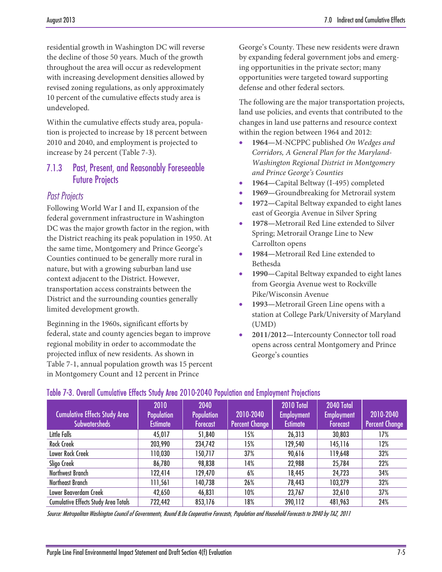residential growth in Washington DC will reverse the decline of those 50 years. Much of the growth throughout the area will occur as redevelopment with increasing development densities allowed by revised zoning regulations, as only approximately 10 percent of the cumulative effects study area is undeveloped.

Within the cumulative effects study area, population is projected to increase by 18 percent between 2010 and 2040, and employment is projected to increase by 24 percent [\(Table 7-3\)](#page-4-0).

#### 7.1.3 Past, Present, and Reasonably Foreseeable Future Projects

#### *Past Projects*

Following World War I and II, expansion of the federal government infrastructure in Washington DC was the major growth factor in the region, with the District reaching its peak population in 1950. At the same time, Montgomery and Prince George's Counties continued to be generally more rural in nature, but with a growing suburban land use context adjacent to the District. However, transportation access constraints between the District and the surrounding counties generally limited development growth.

Beginning in the 1960s, significant efforts by federal, state and county agencies began to improve regional mobility in order to accommodate the projected influx of new residents. As shown in Table 7-1, annual population growth was 15 percent in Montgomery Count and 12 percent in Prince

George's County. These new residents were drawn by expanding federal government jobs and emerging opportunities in the private sector; many opportunities were targeted toward supporting defense and other federal sectors.

The following are the major transportation projects, land use policies, and events that contributed to the changes in land use patterns and resource context within the region between 1964 and 2012:

- **1964—**M-NCPPC published *On Wedges and Corridors, A General Plan for the Maryland-Washington Regional District in Montgomery and Prince George's Counties*
- **1964—**Capital Beltway (I-495) completed
- **1969—**Groundbreaking for Metrorail system
- **1972—**Capital Beltway expanded to eight lanes east of Georgia Avenue in Silver Spring
- **1978—**Metrorail Red Line extended to Silver Spring; Metrorail Orange Line to New Carrollton opens
- **1984—**Metrorail Red Line extended to Bethesda
- **1990—**Capital Beltway expanded to eight lanes from Georgia Avenue west to Rockville Pike/Wisconsin Avenue
- **1993—**Metrorail Green Line opens with a station at College Park/University of Maryland (UMD)
- **2011/2012—**Intercounty Connector toll road opens across central Montgomery and Prince George's counties

| <b>Cumulative Effects Study Area</b><br><b>Subwatersheds</b> | 2010<br><b>Population</b><br><b>Estimate</b> | 2040<br><b>Population</b><br><b>Forecast</b> | 2010-2040<br><b>Percent Change</b> | 2010 Total<br><b>Employment</b><br><b>Estimate</b> | 2040 Total<br><b>Employment</b><br><b>Forecast</b> | 2010-2040<br><b>Percent Change</b> |
|--------------------------------------------------------------|----------------------------------------------|----------------------------------------------|------------------------------------|----------------------------------------------------|----------------------------------------------------|------------------------------------|
| Little Falls                                                 | 45,017                                       | 51,840                                       | 15%                                | 26,313                                             | 30,803                                             | 17%                                |
| <b>Rock Creek</b>                                            | 203,990                                      | 234,742                                      | 15%                                | 129,540                                            | 145,116                                            | 12%                                |
| Lower Rock Creek                                             | 110,030                                      | 150,717                                      | 37%                                | 90,616                                             | 119,648                                            | 32%                                |
| Sligo Creek                                                  | 86,780                                       | 98,838                                       | 14%                                | 22,988                                             | 25,784                                             | 22%                                |
| Northwest Branch                                             | 122,414                                      | 129,470                                      | 6%                                 | 18,445                                             | 24,723                                             | 34%                                |
| Northeast Branch                                             | 111,561                                      | 140,738                                      | 26%                                | 78,443                                             | 103,279                                            | 32%                                |
| Lower Beaverdam Creek                                        | 42,650                                       | 46,831                                       | 10%                                | 23,767                                             | 32,610                                             | 37%                                |
| <b>Cumulative Effects Study Area Totals</b>                  | 722,442                                      | 853,176                                      | 18%                                | 390,112                                            | 481,963                                            | 24%                                |

#### <span id="page-4-0"></span>Table 7-3. Overall Cumulative Effects Study Area 2010-2040 Population and Employment Projections

Source: Metropolitan Washington Council of Governments, Round 8.0a Cooperative Forecasts, Population and Household Forecasts to 2040 by TAZ, 2011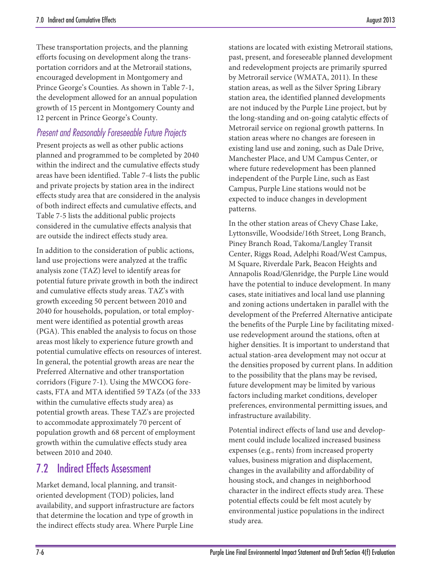These transportation projects, and the planning efforts focusing on development along the transportation corridors and at the Metrorail stations, encouraged development in Montgomery and Prince George's Counties. As shown in [Table 7-1,](#page-3-0) the development allowed for an annual population growth of 15 percent in Montgomery County and 12 percent in Prince George's County.

#### *Present and Reasonably Foreseeable Future Projects*

Present projects as well as other public actions planned and programmed to be completed by 2040 within the indirect and the cumulative effects study areas have been identified. [Table 7-4](#page-6-0) lists the public and private projects by station area in the indirect effects study area that are considered in the analysis of both indirect effects and cumulative effects, and [Table 7-5](#page-8-0) lists the additional public projects considered in the cumulative effects analysis that are outside the indirect effects study area.

In addition to the consideration of public actions, land use projections were analyzed at the traffic analysis zone (TAZ) level to identify areas for potential future private growth in both the indirect and cumulative effects study areas. TAZ's with growth exceeding 50 percent between 2010 and 2040 for households, population, or total employment were identified as potential growth areas (PGA). This enabled the analysis to focus on those areas most likely to experience future growth and potential cumulative effects on resources of interest. In general, the potential growth areas are near the Preferred Alternative and other transportation corridors [\(Figure 7-1\)](#page-2-0). Using the MWCOG forecasts, FTA and MTA identified 59 TAZs (of the 333 within the cumulative effects study area) as potential growth areas. These TAZ's are projected to accommodate approximately 70 percent of population growth and 68 percent of employment growth within the cumulative effects study area between 2010 and 2040.

# 7.2 Indirect Effects Assessment

Market demand, local planning, and transitoriented development (TOD) policies, land availability, and support infrastructure are factors that determine the location and type of growth in the indirect effects study area. Where Purple Line

stations are located with existing Metrorail stations, past, present, and foreseeable planned development and redevelopment projects are primarily spurred by Metrorail service (WMATA, 2011). In these station areas, as well as the Silver Spring Library station area, the identified planned developments are not induced by the Purple Line project, but by the long-standing and on-going catalytic effects of Metrorail service on regional growth patterns. In station areas where no changes are foreseen in existing land use and zoning, such as Dale Drive, Manchester Place, and UM Campus Center, or where future redevelopment has been planned independent of the Purple Line, such as East Campus, Purple Line stations would not be expected to induce changes in development patterns.

In the other station areas of Chevy Chase Lake, Lyttonsville, Woodside/16th Street, Long Branch, Piney Branch Road, Takoma/Langley Transit Center, Riggs Road, Adelphi Road/West Campus, M Square, Riverdale Park, Beacon Heights and Annapolis Road/Glenridge, the Purple Line would have the potential to induce development. In many cases, state initiatives and local land use planning and zoning actions undertaken in parallel with the development of the Preferred Alternative anticipate the benefits of the Purple Line by facilitating mixeduse redevelopment around the stations, often at higher densities. It is important to understand that actual station-area development may not occur at the densities proposed by current plans. In addition to the possibility that the plans may be revised, future development may be limited by various factors including market conditions, developer preferences, environmental permitting issues, and infrastructure availability.

Potential indirect effects of land use and development could include localized increased business expenses (e.g., rents) from increased property values, business migration and displacement, changes in the availability and affordability of housing stock, and changes in neighborhood character in the indirect effects study area. These potential effects could be felt most acutely by environmental justice populations in the indirect study area.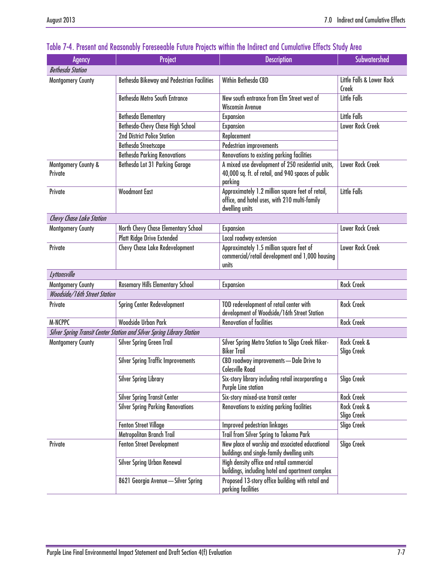| <b>Agency</b>                             | Project                                                                | <b>Description</b>                                                                                                  | <b>Subwatershed</b>                |
|-------------------------------------------|------------------------------------------------------------------------|---------------------------------------------------------------------------------------------------------------------|------------------------------------|
| <b>Bethesda Station</b>                   |                                                                        |                                                                                                                     |                                    |
| <b>Montgomery County</b>                  | Bethesda Bikeway and Pedestrian Facilities                             | Within Bethesda CBD                                                                                                 | Little Falls & Lower Rock<br>Creek |
|                                           | <b>Bethesda Metro South Entrance</b>                                   | New south entrance from Elm Street west of<br><b>Wisconsin Avenue</b>                                               | <b>Little Falls</b>                |
|                                           | <b>Bethesda Elementary</b>                                             | Expansion                                                                                                           | <b>Little Falls</b>                |
|                                           | Bethesda-Chevy Chase High School                                       | <b>Expansion</b>                                                                                                    | <b>Lower Rock Creek</b>            |
|                                           | <b>2nd District Police Station</b>                                     | Replacement                                                                                                         |                                    |
|                                           | <b>Bethesda Streetscape</b>                                            | Pedestrian improvements                                                                                             |                                    |
|                                           | <b>Bethesda Parking Renovations</b>                                    | Renovations to existing parking facilities                                                                          |                                    |
| <b>Montgomery County &amp;</b><br>Private | Bethesda Lot 31 Parking Garage                                         | A mixed use development of 250 residential units,<br>40,000 sq. ft. of retail, and 940 spaces of public<br>parking  | <b>Lower Rock Creek</b>            |
| Private                                   | <b>Woodmont East</b>                                                   | Approximately 1.2 million square feet of retail,<br>office, and hotel uses, with 210 multi-family<br>dwelling units | <b>Little Falls</b>                |
| Chevy Chase Lake Station                  |                                                                        |                                                                                                                     |                                    |
| <b>Montgomery County</b>                  | North Chevy Chase Elementary School                                    | <b>Expansion</b>                                                                                                    | Lower Rock Creek                   |
|                                           | <b>Platt Ridge Drive Extended</b>                                      | Local roadway extension                                                                                             |                                    |
| Private                                   | <b>Chevy Chase Lake Redevelopment</b>                                  | Approximately 1.5 million square feet of<br>commercial/retail development and 1,000 housing<br>units                | <b>Lower Rock Creek</b>            |
| Lyttonsville                              |                                                                        |                                                                                                                     |                                    |
| <b>Montgomery County</b>                  | <b>Rosemary Hills Elementary School</b>                                | Expansion                                                                                                           | <b>Rock Creek</b>                  |
| Woodside/16th Street Station              |                                                                        |                                                                                                                     |                                    |
| Private                                   | <b>Spring Center Redevelopment</b>                                     | TOD redevelopment of retail center with<br>development of Woodside/16th Street Station                              | <b>Rock Creek</b>                  |
| <b>M-NCPPC</b>                            | <b>Woodside Urban Park</b>                                             | <b>Renovation of facilities</b>                                                                                     | <b>Rock Creek</b>                  |
|                                           | Silver Spring Transit Center Station and Silver Spring Library Station |                                                                                                                     |                                    |
| <b>Montgomery County</b>                  | <b>Silver Spring Green Trail</b>                                       | Silver Spring Metro Station to Sligo Creek Hiker-<br><b>Biker Trail</b>                                             | Rock Creek &<br>Sligo Creek        |
|                                           | <b>Silver Spring Traffic Improvements</b>                              | CBD roadway improvements - Dale Drive to<br><b>Colesville Road</b>                                                  |                                    |
|                                           | <b>Silver Spring Library</b>                                           | Six-story library including retail incorporating a<br><b>Purple Line station</b>                                    | Sligo Creek                        |
|                                           | <b>Silver Spring Transit Center</b>                                    | Six-story mixed-use transit center                                                                                  | <b>Rock Creek</b>                  |
|                                           | <b>Silver Spring Parking Renovations</b>                               | Renovations to existing parking facilities                                                                          | Rock Creek &<br>Sligo Creek        |
|                                           | <b>Fenton Street Village</b>                                           | Improved pedestrian linkages                                                                                        | Sligo Creek                        |
|                                           | Metropolitan Branch Trail                                              | Trail from Silver Spring to Takoma Park                                                                             |                                    |
| Private                                   | <b>Fenton Street Development</b>                                       | New place of worship and associated educational<br>buildings and single-family dwelling units                       | Sligo Creek                        |
|                                           | Silver Spring Urban Renewal                                            | High density office and retail commercial<br>buildings, including hotel and apartment complex                       |                                    |
|                                           | 8621 Georgia Avenue - Silver Spring                                    | Proposed 13-story office building with retail and<br>parking facilities                                             |                                    |

#### <span id="page-6-0"></span>Table 7-4. Present and Reasonably Foreseeable Future Projects within the Indirect and Cumulative Effects Study Area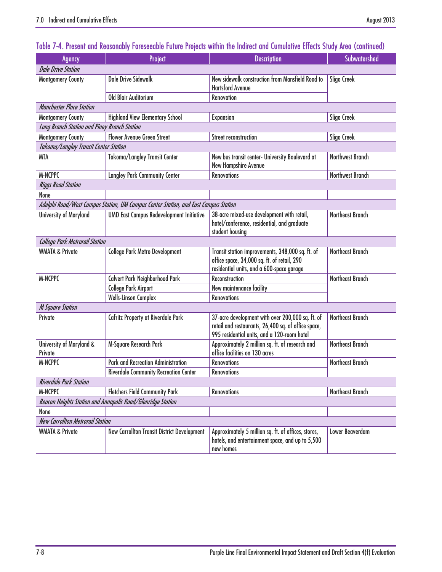# [Table 7-4. Present and Reasonably Foreseeable Future Projects within the Indirect and Cumulative Effects Study Area](#page-6-0) (continued)

| <b>Agency</b>                                       | Project                                                                             | <b>Description</b>                                                                                                                                     | <b>Subwatershed</b>     |
|-----------------------------------------------------|-------------------------------------------------------------------------------------|--------------------------------------------------------------------------------------------------------------------------------------------------------|-------------------------|
| <b>Dale Drive Station</b>                           |                                                                                     |                                                                                                                                                        |                         |
| <b>Montgomery County</b>                            | <b>Dale Drive Sidewalk</b>                                                          | New sidewalk construction from Mansfield Road to<br><b>Hartsford Avenue</b>                                                                            | Sligo Creek             |
|                                                     | <b>Old Blair Auditorium</b>                                                         | <b>Renovation</b>                                                                                                                                      |                         |
| <b>Manchester Place Station</b>                     |                                                                                     |                                                                                                                                                        |                         |
| <b>Montgomery County</b>                            | <b>Highland View Elementary School</b>                                              | <b>Expansion</b>                                                                                                                                       | Sligo Creek             |
| <b>Long Branch Station and Piney Branch Station</b> |                                                                                     |                                                                                                                                                        |                         |
| <b>Montgomery County</b>                            | <b>Flower Avenue Green Street</b>                                                   | <b>Street reconstruction</b>                                                                                                                           | Sligo Creek             |
| Takoma/Langley Transit Center Station               |                                                                                     |                                                                                                                                                        |                         |
| <b>MTA</b>                                          | Takoma/Langley Transit Center                                                       | New bus transit center- University Boulevard at<br><b>New Hampshire Avenue</b>                                                                         | <b>Northwest Branch</b> |
| <b>M-NCPPC</b>                                      | <b>Langley Park Community Center</b>                                                | <b>Renovations</b>                                                                                                                                     | <b>Northwest Branch</b> |
| <b>Riggs Road Station</b>                           |                                                                                     |                                                                                                                                                        |                         |
| None                                                |                                                                                     |                                                                                                                                                        |                         |
|                                                     | Adelphi Road/West Campus Station, UM Campus Center Station, and East Campus Station |                                                                                                                                                        |                         |
| <b>University of Maryland</b>                       | <b>UMD East Campus Redevelopment Initiative</b>                                     | 38-acre mixed-use development with retail,<br>hotel/conference, residential, and graduate<br>student housing                                           | <b>Northeast Branch</b> |
| <b>College Park Metrorail Station</b>               |                                                                                     |                                                                                                                                                        |                         |
| <b>WMATA &amp; Private</b>                          | <b>College Park Metro Development</b>                                               | Transit station improvements, 348,000 sq. ft. of<br>office space, 34,000 sq. ft. of retail, 290<br>residential units, and a 600-space garage           | <b>Northeast Branch</b> |
| <b>M-NCPPC</b>                                      | Calvert Park Neighborhood Park                                                      | <b>Reconstruction</b>                                                                                                                                  | <b>Northeast Branch</b> |
|                                                     | <b>College Park Airport</b>                                                         | New maintenance facility                                                                                                                               |                         |
|                                                     | Wells-Linson Complex                                                                | <b>Renovations</b>                                                                                                                                     |                         |
| <b>M Square Station</b>                             |                                                                                     |                                                                                                                                                        |                         |
| Private                                             | <b>Cafritz Property at Riverdale Park</b>                                           | 37-acre development with over 200,000 sq. ft. of<br>retail and restaurants, 26,400 sq. of office space,<br>995 residential units, and a 120-room hotel | <b>Northeast Branch</b> |
| University of Maryland &<br>Private                 | M-Square Research Park                                                              | Approximately 2 million sq. ft. of research and<br>office facilities on 130 acres                                                                      | <b>Northeast Branch</b> |
| <b>M-NCPPC</b>                                      | <b>Park and Recreation Administration</b>                                           | <b>Renovations</b>                                                                                                                                     | Northeast Branch        |
|                                                     | <b>Riverdale Community Recreation Center</b>                                        | <b>Renovations</b>                                                                                                                                     |                         |
| <b>Riverdale Park Station</b>                       |                                                                                     |                                                                                                                                                        |                         |
| <b>M-NCPPC</b>                                      | <b>Fletchers Field Community Park</b>                                               | <b>Renovations</b>                                                                                                                                     | <b>Northeast Branch</b> |
|                                                     | Beacon Heights Station and Annapolis Road/Glenridge Station                         |                                                                                                                                                        |                         |
| None                                                |                                                                                     |                                                                                                                                                        |                         |
| <b>New Carrollton Metrorail Station</b>             |                                                                                     |                                                                                                                                                        |                         |
| <b>WMATA &amp; Private</b>                          | New Carrollton Transit District Development                                         | Approximately 5 million sq. ft. of offices, stores,<br>hotels, and entertainment space, and up to 5,500<br>new homes                                   | <b>Lower Beaverdam</b>  |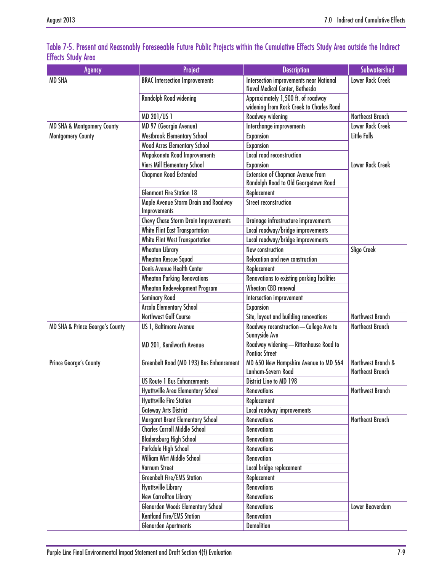| <b>Agency</b>                              | Project                                              | <b>Description</b>                                                               | <b>Subwatershed</b>                           |  |
|--------------------------------------------|------------------------------------------------------|----------------------------------------------------------------------------------|-----------------------------------------------|--|
| <b>MD SHA</b>                              | <b>BRAC Intersection Improvements</b>                | <b>Intersection improvements near National</b><br>Naval Medical Center, Bethesda | Lower Rock Creek                              |  |
|                                            | Randolph Road widening                               | Approximately 1,500 ft. of roadway<br>widening from Rock Creek to Charles Road   |                                               |  |
|                                            | MD 201/US 1                                          | Roadway widening                                                                 | <b>Northeast Branch</b>                       |  |
| <b>MD SHA &amp; Montgomery County</b>      | MD 97 (Georgia Avenue)                               | Interchange improvements                                                         | Lower Rock Creek                              |  |
| <b>Montgomery County</b>                   | <b>Westbrook Elementary School</b>                   | Expansion                                                                        | <b>Little Falls</b>                           |  |
|                                            | <b>Wood Acres Elementary School</b>                  | Expansion                                                                        |                                               |  |
|                                            | <b>Wapakoneta Road Improvements</b>                  | Local road reconstruction                                                        |                                               |  |
|                                            | <b>Viers Mill Elementary School</b>                  | Expansion                                                                        | Lower Rock Creek                              |  |
|                                            | <b>Chapman Road Extended</b>                         | <b>Extension of Chapman Avenue from</b><br>Randolph Road to Old Georgetown Road  |                                               |  |
|                                            | <b>Glenmont Fire Station 18</b>                      | Replacement                                                                      |                                               |  |
|                                            | Maple Avenue Storm Drain and Roadway<br>Improvements | <b>Street reconstruction</b>                                                     |                                               |  |
|                                            | <b>Chevy Chase Storm Drain Improvements</b>          | Drainage infrastructure improvements                                             |                                               |  |
|                                            | White Flint East Transportation                      | Local roadway/bridge improvements                                                |                                               |  |
|                                            | <b>White Flint West Transportation</b>               | Local roadway/bridge improvements                                                |                                               |  |
|                                            | <b>Wheaton Library</b>                               | <b>New construction</b>                                                          | Sligo Creek                                   |  |
|                                            | <b>Wheaton Rescue Squad</b>                          | <b>Relocation and new construction</b>                                           |                                               |  |
|                                            | Denis Avenue Health Center                           | Replacement                                                                      |                                               |  |
|                                            | <b>Wheaton Parking Renovations</b>                   | Renovations to existing parking facilities                                       |                                               |  |
|                                            | <b>Wheaton Redevelopment Program</b>                 | <b>Wheaton CBD renewal</b>                                                       |                                               |  |
|                                            | <b>Seminary Road</b>                                 | Intersection improvement                                                         |                                               |  |
|                                            | Arcola Elementary School                             | Expansion                                                                        |                                               |  |
|                                            | Northwest Golf Course                                | Site, layout and building renovations                                            | <b>Northwest Branch</b>                       |  |
| <b>MD SHA &amp; Prince George's County</b> | US 1, Baltimore Avenue                               | Roadway reconstruction - College Ave to<br>Sunnyside Ave                         | Northeast Branch                              |  |
|                                            | MD 201, Kenilworth Avenue                            | Roadway widening - Rittenhouse Road to<br><b>Pontiac Street</b>                  |                                               |  |
| Prince George's County                     | Greenbelt Road (MD 193) Bus Enhancement              | MD 650 New Hampshire Avenue to MD 564<br>Lanham-Severn Road                      | Northwest Branch &<br><b>Northeast Branch</b> |  |
|                                            | <b>US Route 1 Bus Enhancements</b>                   | District Line to MD 198                                                          |                                               |  |
|                                            | Hyattsville Area Elementary School                   | <b>Renovations</b>                                                               | <b>Northwest Branch</b>                       |  |
|                                            | <b>Hyattsville Fire Station</b>                      | Replacement                                                                      |                                               |  |
|                                            | <b>Gateway Arts District</b>                         | Local roadway improvements                                                       |                                               |  |
|                                            | Margaret Brent Elementary School                     | <b>Renovations</b>                                                               | Northeast Branch                              |  |
|                                            | <b>Charles Carroll Middle School</b>                 | <b>Renovations</b>                                                               |                                               |  |
|                                            | <b>Bladensburg High School</b>                       | <b>Renovations</b>                                                               |                                               |  |
|                                            | Parkdale High School                                 | <b>Renovations</b>                                                               |                                               |  |
|                                            | William Wirt Middle School                           | Renovation                                                                       |                                               |  |
|                                            | <b>Varnum Street</b>                                 | Local bridge replacement                                                         |                                               |  |
|                                            | <b>Greenbelt Fire/EMS Station</b>                    | Replacement                                                                      |                                               |  |
|                                            | <b>Hyattsville Library</b>                           | <b>Renovations</b>                                                               |                                               |  |
|                                            | <b>New Carrollton Library</b>                        | <b>Renovations</b>                                                               |                                               |  |
|                                            | <b>Glenarden Woods Elementary School</b>             | <b>Renovations</b>                                                               | Lower Beaverdam                               |  |
|                                            | Kentland Fire/EMS Station                            | Renovation                                                                       |                                               |  |
|                                            | <b>Glenarden Apartments</b>                          | <b>Demolition</b>                                                                |                                               |  |

#### <span id="page-8-0"></span>Table 7-5. Present and Reasonably Foreseeable Future Public Projects within the Cumulative Effects Study Area outside the Indirect Effects Study Area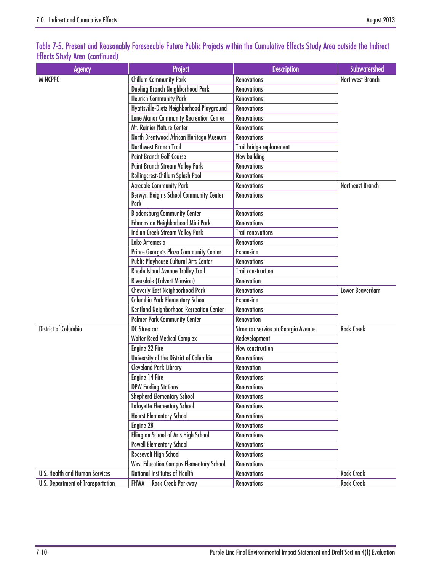| <b>Agency</b>                            | Project                                        | <b>Description</b>                  | <b>Subwatershed</b>     |  |
|------------------------------------------|------------------------------------------------|-------------------------------------|-------------------------|--|
| <b>M-NCPPC</b>                           | <b>Chillum Community Park</b>                  | <b>Renovations</b>                  | <b>Northwest Branch</b> |  |
|                                          | Dueling Branch Neighborhood Park               | <b>Renovations</b>                  |                         |  |
|                                          | <b>Heurich Community Park</b>                  | <b>Renovations</b>                  |                         |  |
|                                          | Hyattsville-Dietz Neighborhood Playground      | <b>Renovations</b>                  |                         |  |
|                                          | <b>Lane Manor Community Recreation Center</b>  | <b>Renovations</b>                  |                         |  |
|                                          | Mt. Rainier Nature Center                      | <b>Renovations</b>                  |                         |  |
|                                          | North Brentwood African Heritage Museum        | <b>Renovations</b>                  |                         |  |
|                                          | Northwest Branch Trail                         | Trail bridge replacement            |                         |  |
|                                          | <b>Paint Branch Golf Course</b>                | New building                        |                         |  |
|                                          | <b>Paint Branch Stream Valley Park</b>         | <b>Renovations</b>                  |                         |  |
|                                          | Rollingcrest-Chillum Splash Pool               | <b>Renovations</b>                  |                         |  |
|                                          | <b>Acredale Community Park</b>                 | <b>Renovations</b>                  | Northeast Branch        |  |
|                                          | Berwyn Heights School Community Center<br>Park | <b>Renovations</b>                  |                         |  |
|                                          | <b>Bladensburg Community Center</b>            | <b>Renovations</b>                  |                         |  |
|                                          | Edmonston Neighborhood Mini Park               | <b>Renovations</b>                  |                         |  |
|                                          | <b>Indian Creek Stream Valley Park</b>         | <b>Trail renovations</b>            |                         |  |
|                                          | Lake Artemesia                                 | <b>Renovations</b>                  |                         |  |
|                                          | Prince George's Plaza Community Center         | <b>Expansion</b>                    |                         |  |
|                                          | Public Playhouse Cultural Arts Center          | <b>Renovations</b>                  |                         |  |
|                                          | Rhode Island Avenue Trolley Trail              | <b>Trail construction</b>           |                         |  |
|                                          | <b>Riversdale (Calvert Mansion)</b>            | Renovation                          |                         |  |
|                                          | <b>Cheverly-East Neighborhood Park</b>         | <b>Renovations</b>                  | Lower Beaverdam         |  |
|                                          | Columbia Park Elementary School                | <b>Expansion</b>                    |                         |  |
|                                          | Kentland Neighborhood Recreation Center        | <b>Renovations</b>                  |                         |  |
|                                          | <b>Palmer Park Community Center</b>            | <b>Renovation</b>                   |                         |  |
| <b>District of Columbia</b>              | <b>DC Streetcar</b>                            | Streetcar service on Georgia Avenue | <b>Rock Creek</b>       |  |
|                                          | <b>Walter Reed Medical Complex</b>             | Redevelopment                       |                         |  |
|                                          | Engine 22 Fire                                 | <b>New construction</b>             |                         |  |
|                                          | University of the District of Columbia         | <b>Renovations</b>                  |                         |  |
|                                          | <b>Cleveland Park Library</b>                  | Renovation                          |                         |  |
|                                          | Engine 14 Fire                                 | <b>Renovations</b>                  |                         |  |
|                                          | <b>DPW Fueling Stations</b>                    | <b>Renovations</b>                  |                         |  |
|                                          | <b>Shepherd Elementary School</b>              | <b>Renovations</b>                  |                         |  |
|                                          | Lafayette Elementary School                    | <b>Renovations</b>                  |                         |  |
|                                          | <b>Hearst Elementary School</b>                | <b>Renovations</b>                  |                         |  |
|                                          | Engine 28                                      | <b>Renovations</b>                  |                         |  |
|                                          | Ellington School of Arts High School           | <b>Renovations</b>                  |                         |  |
|                                          | <b>Powell Elementary School</b>                | <b>Renovations</b>                  |                         |  |
|                                          | Roosevelt High School                          | <b>Renovations</b>                  |                         |  |
|                                          | <b>West Education Campus Elementary School</b> | <b>Renovations</b>                  |                         |  |
| <b>U.S. Health and Human Services</b>    | <b>National Institutes of Health</b>           | <b>Renovations</b>                  | <b>Rock Creek</b>       |  |
| <b>U.S. Department of Transportation</b> | FHWA-Rock Creek Parkway                        | <b>Renovations</b>                  | <b>Rock Creek</b>       |  |

#### [Table 7-5. Present and Reasonably Foreseeable Future Public Projects within the Cumulative Effects Study Area outside the Indirect](#page-8-0)  [Effects Study Area](#page-8-0) (continued)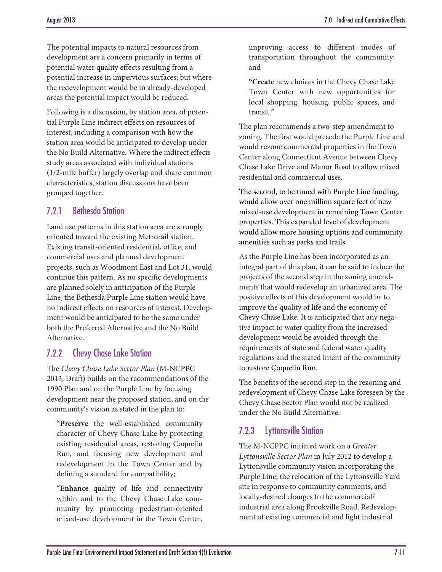The potential impacts to natural resources from development are a concern primarily in terms of potential water quality effects resulting from a potential increase in impervious surfaces; but where the redevelopment would be in already-developed areas the potential impact would be reduced.

Following is a discussion, by station area, of potential Purple Line indirect effects on resources of interest, including a comparison with how the station area would be anticipated to develop under the No Build Alternative. Where the indirect effects study areas associated with individual stations (1/2-mile buffer) largely overlap and share common characteristics, station discussions have been grouped together.

# 7.2.1 Bethesda Station

Land use patterns in this station area are strongly oriented toward the existing Metrorail station. Existing transit-oriented residential, office, and commercial uses and planned development projects, such as Woodmont East and Lot 31, would continue this pattern. As no specific developments are planned solely in anticipation of the Purple Line, the Bethesda Purple Line station would have no indirect effects on resources of interest. Development would be anticipated to be the same under both the Preferred Alternative and the No Build Alternative.

# 7.2.2 Chevy Chase Lake Station

The *Chevy Chase Lake Sector Plan* (M-NCPPC 2013, Draft) builds on the recommendations of the 1990 Plan and on the Purple Line by focusing development near the proposed station, and on the community's vision as stated in the plan to:

**"Preserve** the well-established community character of Chevy Chase Lake by protecting existing residential areas, restoring Coquelin Run, and focusing new development and redevelopment in the Town Center and by defining a standard for compatibility;

**"Enhance** quality of life and connectivity within and to the Chevy Chase Lake community by promoting pedestrian-oriented mixed-use development in the Town Center,

improving access to different modes of transportation throughout the community; and

**"Create** new choices in the Chevy Chase Lake Town Center with new opportunities for local shopping, housing, public spaces, and transit."

The plan recommends a two-step amendment to zoning. The first would precede the Purple Line and would rezone commercial properties in the Town Center along Connecticut Avenue between Chevy Chase Lake Drive and Manor Road to allow mixed residential and commercial uses.

The second, to be timed with Purple Line funding, would allow over one million square feet of new mixed-use development in remaining Town Center properties. This expanded level of development would allow more housing options and community amenities such as parks and trails.

As the Purple Line has been incorporated as an integral part of this plan, it can be said to induce the projects of the second step in the zoning amendments that would redevelop an urbanized area. The positive effects of this development would be to improve the quality of life and the economy of Chevy Chase Lake. It is anticipated that any negative impact to water quality from the increased development would be avoided through the requirements of state and federal water quality regulations and the stated intent of the community to restore Coquelin Run.

The benefits of the second step in the rezoning and redevelopment of Chevy Chase Lake foreseen by the Chevy Chase Sector Plan would not be realized under the No Build Alternative.

# 7.2.3 Lyttonsville Station

The M-NCPPC initiated work on a *Greater Lyttonsville Sector Plan* in July 2012 to develop a Lyttonsville community vision incorporating the Purple Line, the relocation of the Lyttonsville Yard site in response to community comments, and locally-desired changes to the commercial/ industrial area along Brookville Road. Redevelopment of existing commercial and light industrial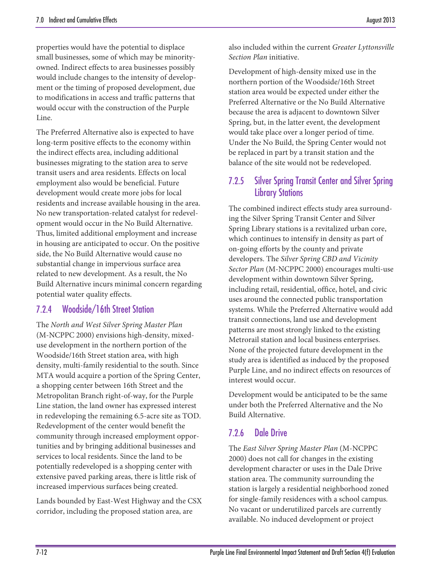properties would have the potential to displace small businesses, some of which may be minorityowned. Indirect effects to area businesses possibly would include changes to the intensity of development or the timing of proposed development, due to modifications in access and traffic patterns that would occur with the construction of the Purple Line.

The Preferred Alternative also is expected to have long-term positive effects to the economy within the indirect effects area, including additional businesses migrating to the station area to serve transit users and area residents. Effects on local employment also would be beneficial. Future development would create more jobs for local residents and increase available housing in the area. No new transportation-related catalyst for redevelopment would occur in the No Build Alternative. Thus, limited additional employment and increase in housing are anticipated to occur. On the positive side, the No Build Alternative would cause no substantial change in impervious surface area related to new development. As a result, the No Build Alternative incurs minimal concern regarding potential water quality effects.

## 7.2.4 Woodside/16th Street Station

The *North and West Silver Spring Master Plan* (M-NCPPC 2000) envisions high-density, mixeduse development in the northern portion of the Woodside/16th Street station area, with high density, multi-family residential to the south. Since MTA would acquire a portion of the Spring Center, a shopping center between 16th Street and the Metropolitan Branch right-of-way, for the Purple Line station, the land owner has expressed interest in redeveloping the remaining 6.5-acre site as TOD. Redevelopment of the center would benefit the community through increased employment opportunities and by bringing additional businesses and services to local residents. Since the land to be potentially redeveloped is a shopping center with extensive paved parking areas, there is little risk of increased impervious surfaces being created.

Lands bounded by East-West Highway and the CSX corridor, including the proposed station area, are

also included within the current *Greater Lyttonsville Section Plan* initiative.

Development of high-density mixed use in the northern portion of the Woodside/16th Street station area would be expected under either the Preferred Alternative or the No Build Alternative because the area is adjacent to downtown Silver Spring, but, in the latter event, the development would take place over a longer period of time. Under the No Build, the Spring Center would not be replaced in part by a transit station and the balance of the site would not be redeveloped.

#### 7.2.5 Silver Spring Transit Center and Silver Spring Library Stations

The combined indirect effects study area surrounding the Silver Spring Transit Center and Silver Spring Library stations is a revitalized urban core, which continues to intensify in density as part of on-going efforts by the county and private developers. The *Silver Spring CBD and Vicinity Sector Plan* (M-NCPPC 2000) encourages multi-use development within downtown Silver Spring, including retail, residential, office, hotel, and civic uses around the connected public transportation systems. While the Preferred Alternative would add transit connections, land use and development patterns are most strongly linked to the existing Metrorail station and local business enterprises. None of the projected future development in the study area is identified as induced by the proposed Purple Line, and no indirect effects on resources of interest would occur.

Development would be anticipated to be the same under both the Preferred Alternative and the No Build Alternative.

## 7.2.6 Dale Drive

The *East Silver Spring Master Plan* (M-NCPPC 2000) does not call for changes in the existing development character or uses in the Dale Drive station area. The community surrounding the station is largely a residential neighborhood zoned for single-family residences with a school campus. No vacant or underutilized parcels are currently available. No induced development or project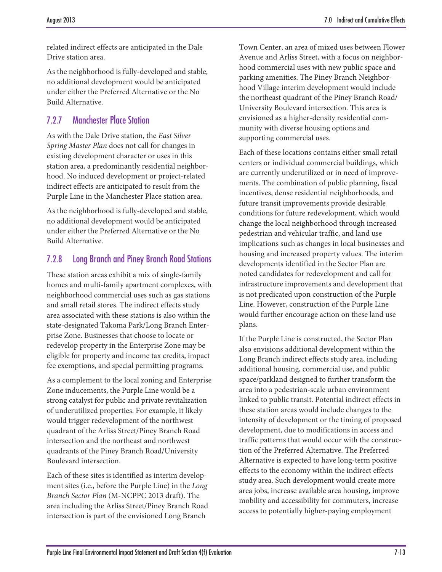related indirect effects are anticipated in the Dale Drive station area.

As the neighborhood is fully-developed and stable, no additional development would be anticipated under either the Preferred Alternative or the No Build Alternative.

# 7.2.7 Manchester Place Station

As with the Dale Drive station, the *East Silver Spring Master Plan* does not call for changes in existing development character or uses in this station area, a predominantly residential neighborhood. No induced development or project-related indirect effects are anticipated to result from the Purple Line in the Manchester Place station area.

As the neighborhood is fully-developed and stable, no additional development would be anticipated under either the Preferred Alternative or the No Build Alternative.

# 7.2.8 Long Branch and Piney Branch Road Stations

These station areas exhibit a mix of single-family homes and multi-family apartment complexes, with neighborhood commercial uses such as gas stations and small retail stores. The indirect effects study area associated with these stations is also within the state-designated Takoma Park/Long Branch Enterprise Zone. Businesses that choose to locate or redevelop property in the Enterprise Zone may be eligible for property and income tax credits, impact fee exemptions, and special permitting programs.

As a complement to the local zoning and Enterprise Zone inducements, the Purple Line would be a strong catalyst for public and private revitalization of underutilized properties. For example, it likely would trigger redevelopment of the northwest quadrant of the Arliss Street/Piney Branch Road intersection and the northeast and northwest quadrants of the Piney Branch Road/University Boulevard intersection.

Each of these sites is identified as interim development sites (i.e., before the Purple Line) in the *Long Branch Sector Plan* (M-NCPPC 2013 draft). The area including the Arliss Street/Piney Branch Road intersection is part of the envisioned Long Branch

Town Center, an area of mixed uses between Flower Avenue and Arliss Street, with a focus on neighborhood commercial uses with new public space and parking amenities. The Piney Branch Neighborhood Village interim development would include the northeast quadrant of the Piney Branch Road/ University Boulevard intersection. This area is envisioned as a higher-density residential community with diverse housing options and supporting commercial uses.

Each of these locations contains either small retail centers or individual commercial buildings, which are currently underutilized or in need of improvements. The combination of public planning, fiscal incentives, dense residential neighborhoods, and future transit improvements provide desirable conditions for future redevelopment, which would change the local neighborhood through increased pedestrian and vehicular traffic, and land use implications such as changes in local businesses and housing and increased property values. The interim developments identified in the Sector Plan are noted candidates for redevelopment and call for infrastructure improvements and development that is not predicated upon construction of the Purple Line. However, construction of the Purple Line would further encourage action on these land use plans.

If the Purple Line is constructed, the Sector Plan also envisions additional development within the Long Branch indirect effects study area, including additional housing, commercial use, and public space/parkland designed to further transform the area into a pedestrian-scale urban environment linked to public transit. Potential indirect effects in these station areas would include changes to the intensity of development or the timing of proposed development, due to modifications in access and traffic patterns that would occur with the construction of the Preferred Alternative. The Preferred Alternative is expected to have long-term positive effects to the economy within the indirect effects study area. Such development would create more area jobs, increase available area housing, improve mobility and accessibility for commuters, increase access to potentially higher-paying employment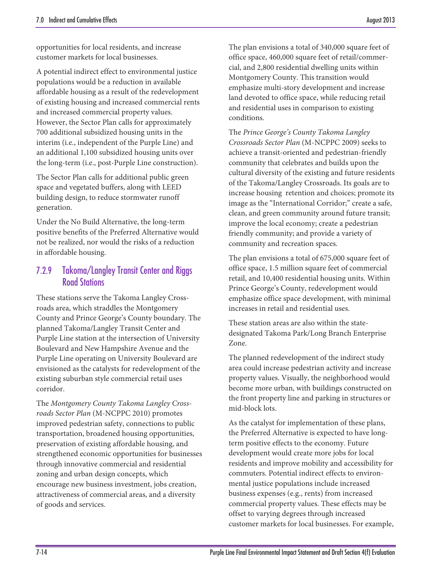opportunities for local residents, and increase customer markets for local businesses.

A potential indirect effect to environmental justice populations would be a reduction in available affordable housing as a result of the redevelopment of existing housing and increased commercial rents and increased commercial property values. However, the Sector Plan calls for approximately 700 additional subsidized housing units in the interim (i.e., independent of the Purple Line) and an additional 1,100 subsidized housing units over the long-term (i.e., post-Purple Line construction).

The Sector Plan calls for additional public green space and vegetated buffers, along with LEED building design, to reduce stormwater runoff generation.

Under the No Build Alternative, the long-term positive benefits of the Preferred Alternative would not be realized, nor would the risks of a reduction in affordable housing.

## 7.2.9 Takoma/Langley Transit Center and Riggs Road Stations

These stations serve the Takoma Langley Crossroads area, which straddles the Montgomery County and Prince George's County boundary. The planned Takoma/Langley Transit Center and Purple Line station at the intersection of University Boulevard and New Hampshire Avenue and the Purple Line operating on University Boulevard are envisioned as the catalysts for redevelopment of the existing suburban style commercial retail uses corridor.

The *Montgomery County Takoma Langley Crossroads Sector Plan* (M-NCPPC 2010) promotes improved pedestrian safety, connections to public transportation, broadened housing opportunities, preservation of existing affordable housing, and strengthened economic opportunities for businesses through innovative commercial and residential zoning and urban design concepts, which encourage new business investment, jobs creation, attractiveness of commercial areas, and a diversity of goods and services.

The plan envisions a total of 340,000 square feet of office space, 460,000 square feet of retail/commercial, and 2,800 residential dwelling units within Montgomery County. This transition would emphasize multi-story development and increase land devoted to office space, while reducing retail and residential uses in comparison to existing conditions.

The *Prince George's County Takoma Langley Crossroads Sector Plan* (M-NCPPC 2009) seeks to achieve a transit-oriented and pedestrian-friendly community that celebrates and builds upon the cultural diversity of the existing and future residents of the Takoma/Langley Crossroads. Its goals are to increase housing retention and choices; promote its image as the "International Corridor;" create a safe, clean, and green community around future transit; improve the local economy; create a pedestrian friendly community; and provide a variety of community and recreation spaces.

The plan envisions a total of 675,000 square feet of office space, 1.5 million square feet of commercial retail, and 10,400 residential housing units. Within Prince George's County, redevelopment would emphasize office space development, with minimal increases in retail and residential uses.

These station areas are also within the statedesignated Takoma Park/Long Branch Enterprise Zone.

The planned redevelopment of the indirect study area could increase pedestrian activity and increase property values. Visually, the neighborhood would become more urban, with buildings constructed on the front property line and parking in structures or mid-block lots.

As the catalyst for implementation of these plans, the Preferred Alternative is expected to have longterm positive effects to the economy. Future development would create more jobs for local residents and improve mobility and accessibility for commuters. Potential indirect effects to environmental justice populations include increased business expenses (e.g., rents) from increased commercial property values. These effects may be offset to varying degrees through increased customer markets for local businesses. For example,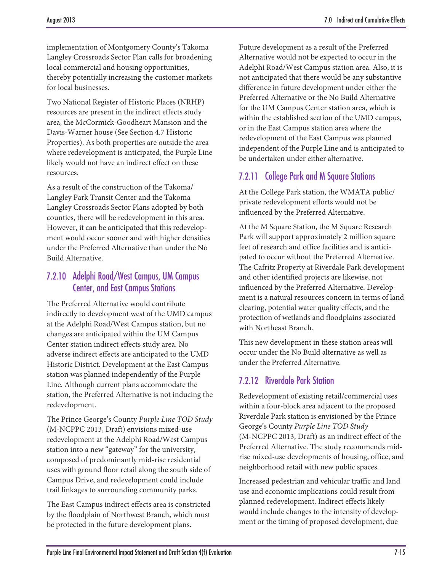implementation of Montgomery County's Takoma Langley Crossroads Sector Plan calls for broadening local commercial and housing opportunities, thereby potentially increasing the customer markets for local businesses.

Two National Register of Historic Places (NRHP) resources are present in the indirect effects study area, the McCormick-Goodheart Mansion and the Davis-Warner house (See Section 4.7 Historic Properties). As both properties are outside the area where redevelopment is anticipated, the Purple Line likely would not have an indirect effect on these resources.

As a result of the construction of the Takoma/ Langley Park Transit Center and the Takoma Langley Crossroads Sector Plans adopted by both counties, there will be redevelopment in this area. However, it can be anticipated that this redevelopment would occur sooner and with higher densities under the Preferred Alternative than under the No Build Alternative.

## 7.2.10 Adelphi Road/West Campus, UM Campus Center, and East Campus Stations

The Preferred Alternative would contribute indirectly to development west of the UMD campus at the Adelphi Road/West Campus station, but no changes are anticipated within the UM Campus Center station indirect effects study area. No adverse indirect effects are anticipated to the UMD Historic District. Development at the East Campus station was planned independently of the Purple Line. Although current plans accommodate the station, the Preferred Alternative is not inducing the redevelopment.

The Prince George's County *Purple Line TOD Study* (M-NCPPC 2013, Draft) envisions mixed-use redevelopment at the Adelphi Road/West Campus station into a new "gateway" for the university, composed of predominantly mid-rise residential uses with ground floor retail along the south side of Campus Drive, and redevelopment could include trail linkages to surrounding community parks.

The East Campus indirect effects area is constricted by the floodplain of Northwest Branch, which must be protected in the future development plans.

Future development as a result of the Preferred Alternative would not be expected to occur in the Adelphi Road/West Campus station area. Also, it is not anticipated that there would be any substantive difference in future development under either the Preferred Alternative or the No Build Alternative for the UM Campus Center station area, which is within the established section of the UMD campus, or in the East Campus station area where the redevelopment of the East Campus was planned independent of the Purple Line and is anticipated to be undertaken under either alternative.

## 7.2.11 College Park and M Square Stations

At the College Park station, the WMATA public/ private redevelopment efforts would not be influenced by the Preferred Alternative.

At the M Square Station, the M Square Research Park will support approximately 2 million square feet of research and office facilities and is anticipated to occur without the Preferred Alternative. The Cafritz Property at Riverdale Park development and other identified projects are likewise, not influenced by the Preferred Alternative. Development is a natural resources concern in terms of land clearing, potential water quality effects, and the protection of wetlands and floodplains associated with Northeast Branch.

This new development in these station areas will occur under the No Build alternative as well as under the Preferred Alternative.

# 7.2.12 Riverdale Park Station

Redevelopment of existing retail/commercial uses within a four-block area adjacent to the proposed Riverdale Park station is envisioned by the Prince George's County *Purple Line TOD Study* (M-NCPPC 2013, Draft) as an indirect effect of the Preferred Alternative. The study recommends midrise mixed-use developments of housing, office, and neighborhood retail with new public spaces.

Increased pedestrian and vehicular traffic and land use and economic implications could result from planned redevelopment. Indirect effects likely would include changes to the intensity of development or the timing of proposed development, due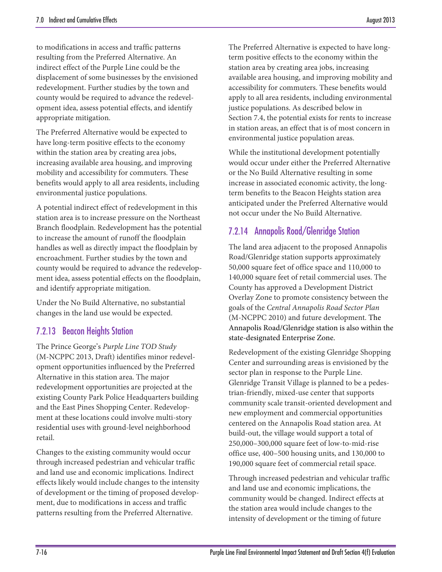to modifications in access and traffic patterns resulting from the Preferred Alternative. An indirect effect of the Purple Line could be the displacement of some businesses by the envisioned redevelopment. Further studies by the town and county would be required to advance the redevelopment idea, assess potential effects, and identify appropriate mitigation.

The Preferred Alternative would be expected to have long-term positive effects to the economy within the station area by creating area jobs, increasing available area housing, and improving mobility and accessibility for commuters. These benefits would apply to all area residents, including environmental justice populations.

A potential indirect effect of redevelopment in this station area is to increase pressure on the Northeast Branch floodplain. Redevelopment has the potential to increase the amount of runoff the floodplain handles as well as directly impact the floodplain by encroachment. Further studies by the town and county would be required to advance the redevelopment idea, assess potential effects on the floodplain, and identify appropriate mitigation.

Under the No Build Alternative, no substantial changes in the land use would be expected.

#### 7.2.13 Beacon Heights Station

The Prince George's *Purple Line TOD Study*  (M-NCPPC 2013, Draft) identifies minor redevelopment opportunities influenced by the Preferred Alternative in this station area. The major redevelopment opportunities are projected at the existing County Park Police Headquarters building and the East Pines Shopping Center. Redevelopment at these locations could involve multi-story residential uses with ground-level neighborhood retail.

Changes to the existing community would occur through increased pedestrian and vehicular traffic and land use and economic implications. Indirect effects likely would include changes to the intensity of development or the timing of proposed development, due to modifications in access and traffic patterns resulting from the Preferred Alternative.

The Preferred Alternative is expected to have longterm positive effects to the economy within the station area by creating area jobs, increasing available area housing, and improving mobility and accessibility for commuters. These benefits would apply to all area residents, including environmental justice populations. As described below in Section 7.4, the potential exists for rents to increase in station areas, an effect that is of most concern in environmental justice population areas.

While the institutional development potentially would occur under either the Preferred Alternative or the No Build Alternative resulting in some increase in associated economic activity, the longterm benefits to the Beacon Heights station area anticipated under the Preferred Alternative would not occur under the No Build Alternative.

#### 7.2.14 Annapolis Road/Glenridge Station

The land area adjacent to the proposed Annapolis Road/Glenridge station supports approximately 50,000 square feet of office space and 110,000 to 140,000 square feet of retail commercial uses. The County has approved a Development District Overlay Zone to promote consistency between the goals of the *Central Annapolis Road Sector Plan* (M-NCPPC 2010) and future development. The Annapolis Road/Glenridge station is also within the state-designated Enterprise Zone.

Redevelopment of the existing Glenridge Shopping Center and surrounding areas is envisioned by the sector plan in response to the Purple Line. Glenridge Transit Village is planned to be a pedestrian-friendly, mixed-use center that supports community scale transit-oriented development and new employment and commercial opportunities centered on the Annapolis Road station area. At build-out, the village would support a total of 250,000–300,000 square feet of low-to-mid-rise office use, 400–500 housing units, and 130,000 to 190,000 square feet of commercial retail space.

Through increased pedestrian and vehicular traffic and land use and economic implications, the community would be changed. Indirect effects at the station area would include changes to the intensity of development or the timing of future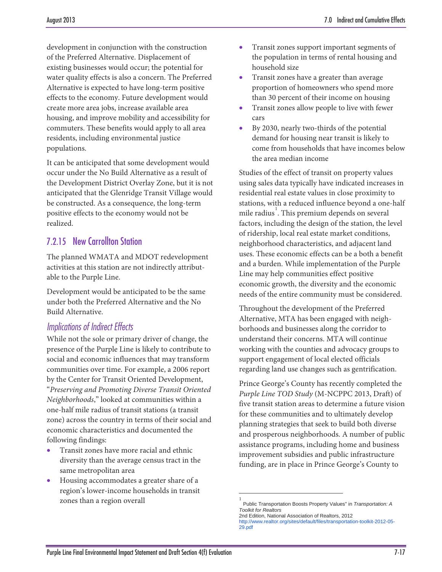development in conjunction with the construction of the Preferred Alternative. Displacement of existing businesses would occur; the potential for water quality effects is also a concern. The Preferred Alternative is expected to have long-term positive effects to the economy. Future development would create more area jobs, increase available area housing, and improve mobility and accessibility for commuters. These benefits would apply to all area residents, including environmental justice populations.

It can be anticipated that some development would occur under the No Build Alternative as a result of the Development District Overlay Zone, but it is not anticipated that the Glenridge Transit Village would be constructed. As a consequence, the long-term positive effects to the economy would not be realized.

# 7.2.15 New Carrollton Station

The planned WMATA and MDOT redevelopment activities at this station are not indirectly attributable to the Purple Line.

Development would be anticipated to be the same under both the Preferred Alternative and the No Build Alternative.

# *Implications of Indirect Effects*

While not the sole or primary driver of change, the presence of the Purple Line is likely to contribute to social and economic influences that may transform communities over time. For example, a 2006 report by the Center for Transit Oriented Development, "*Preserving and Promoting Diverse Transit Oriented Neighborhoods*," looked at communities within a one-half mile radius of transit stations (a transit zone) across the country in terms of their social and economic characteristics and documented the following findings:

- Transit zones have more racial and ethnic diversity than the average census tract in the same metropolitan area
- <span id="page-16-0"></span>• Housing accommodates a greater share of a region's lower-income households in transit zones than a region overall
- Transit zones support important segments of the population in terms of rental housing and household size
- Transit zones have a greater than average proportion of homeowners who spend more than 30 percent of their income on housing
- Transit zones allow people to live with fewer cars
- By 2030, nearly two-thirds of the potential demand for housing near transit is likely to come from households that have incomes below the area median income

Studies of the effect of transit on property values using sales data typically have indicated increases in residential real estate values in close proximity to stations, with a reduced influence beyond a one-half mile radius $^{\rm l}$ . This premium depends on several factors, including the design of the station, the level of ridership, local real estate market conditions, neighborhood characteristics, and adjacent land uses. These economic effects can be a both a benefit and a burden. While implementation of the Purple Line may help communities effect positive economic growth, the diversity and the economic needs of the entire community must be considered.

Throughout the development of the Preferred Alternative, MTA has been engaged with neighborhoods and businesses along the corridor to understand their concerns. MTA will continue working with the counties and advocacy groups to support engagement of local elected officials regarding land use changes such as gentrification.

Prince George's County has recently completed the *Purple Line TOD Study* (M-NCPPC 2013, Draft) of five transit station areas to determine a future vision for these communities and to ultimately develop planning strategies that seek to build both diverse and prosperous neighborhoods. A number of public assistance programs, including home and business improvement subsidies and public infrastructure funding, are in place in Prince George's County to

2nd Edition, National Association of Realtors, 2012 [http://www.realtor.org/sites/default/files/transportation-toolkit-2012-05-](http://www.realtor.org/sites/default/files/transportation-toolkit-2012-05-29.pdf) [29.pdf](http://www.realtor.org/sites/default/files/transportation-toolkit-2012-05-29.pdf)

 $\overline{a}$ 

<sup>1</sup> Public Transportation Boosts Property Values" in *Transportation: A Toolkit for Realtors*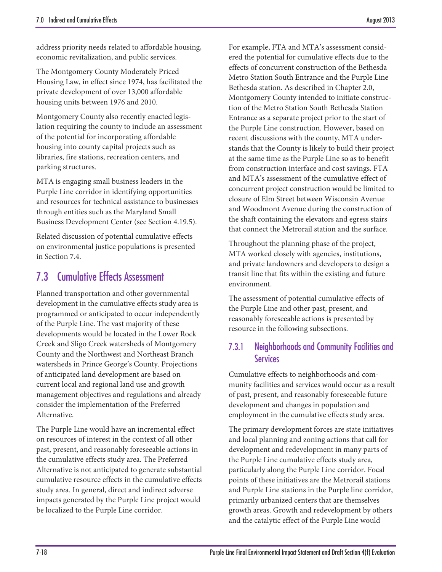address priority needs related to affordable housing, economic revitalization, and public services.

The Montgomery County Moderately Priced Housing Law, in effect since 1974, has facilitated the private development of over 13,000 affordable housing units between 1976 and 2010.

Montgomery County also recently enacted legislation requiring the county to include an assessment of the potential for incorporating affordable housing into county capital projects such as libraries, fire stations, recreation centers, and parking structures.

MTA is engaging small business leaders in the Purple Line corridor in identifying opportunities and resources for technical assistance to businesses through entities such as the Maryland Small Business Development Center (see Section 4.19.5).

Related discussion of potential cumulative effects on environmental justice populations is presented in Section 7.4.

# 7.3 Cumulative Effects Assessment

Planned transportation and other governmental development in the cumulative effects study area is programmed or anticipated to occur independently of the Purple Line. The vast majority of these developments would be located in the Lower Rock Creek and Sligo Creek watersheds of Montgomery County and the Northwest and Northeast Branch watersheds in Prince George's County. Projections of anticipated land development are based on current local and regional land use and growth management objectives and regulations and already consider the implementation of the Preferred Alternative.

The Purple Line would have an incremental effect on resources of interest in the context of all other past, present, and reasonably foreseeable actions in the cumulative effects study area. The Preferred Alternative is not anticipated to generate substantial cumulative resource effects in the cumulative effects study area. In general, direct and indirect adverse impacts generated by the Purple Line project would be localized to the Purple Line corridor.

For example, FTA and MTA's assessment considered the potential for cumulative effects due to the effects of concurrent construction of the Bethesda Metro Station South Entrance and the Purple Line Bethesda station. As described in Chapter 2.0, Montgomery County intended to initiate construction of the Metro Station South Bethesda Station Entrance as a separate project prior to the start of the Purple Line construction. However, based on recent discussions with the county, MTA understands that the County is likely to build their project at the same time as the Purple Line so as to benefit from construction interface and cost savings. FTA and MTA's assessment of the cumulative effect of concurrent project construction would be limited to closure of Elm Street between Wisconsin Avenue and Woodmont Avenue during the construction of the shaft containing the elevators and egress stairs that connect the Metrorail station and the surface.

Throughout the planning phase of the project, MTA worked closely with agencies, institutions, and private landowners and developers to design a transit line that fits within the existing and future environment.

The assessment of potential cumulative effects of the Purple Line and other past, present, and reasonably foreseeable actions is presented by resource in the following subsections.

## 7.3.1 Neighborhoods and Community Facilities and **Services**

Cumulative effects to neighborhoods and community facilities and services would occur as a result of past, present, and reasonably foreseeable future development and changes in population and employment in the cumulative effects study area.

The primary development forces are state initiatives and local planning and zoning actions that call for development and redevelopment in many parts of the Purple Line cumulative effects study area, particularly along the Purple Line corridor. Focal points of these initiatives are the Metrorail stations and Purple Line stations in the Purple line corridor, primarily urbanized centers that are themselves growth areas. Growth and redevelopment by others and the catalytic effect of the Purple Line would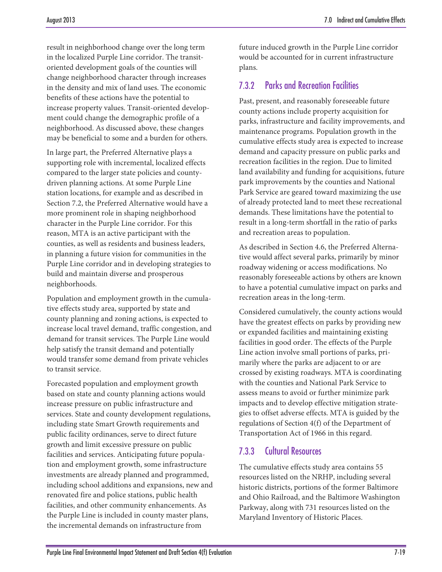result in neighborhood change over the long term in the localized Purple Line corridor. The transitoriented development goals of the counties will change neighborhood character through increases in the density and mix of land uses. The economic benefits of these actions have the potential to increase property values. Transit-oriented development could change the demographic profile of a neighborhood. As discussed above, these changes may be beneficial to some and a burden for others.

In large part, the Preferred Alternative plays a supporting role with incremental, localized effects compared to the larger state policies and countydriven planning actions. At some Purple Line station locations, for example and as described in Section 7.2, the Preferred Alternative would have a more prominent role in shaping neighborhood character in the Purple Line corridor. For this reason, MTA is an active participant with the counties, as well as residents and business leaders, in planning a future vision for communities in the Purple Line corridor and in developing strategies to build and maintain diverse and prosperous neighborhoods.

Population and employment growth in the cumulative effects study area, supported by state and county planning and zoning actions, is expected to increase local travel demand, traffic congestion, and demand for transit services. The Purple Line would help satisfy the transit demand and potentially would transfer some demand from private vehicles to transit service.

Forecasted population and employment growth based on state and county planning actions would increase pressure on public infrastructure and services. State and county development regulations, including state Smart Growth requirements and public facility ordinances, serve to direct future growth and limit excessive pressure on public facilities and services. Anticipating future population and employment growth, some infrastructure investments are already planned and programmed, including school additions and expansions, new and renovated fire and police stations, public health facilities, and other community enhancements. As the Purple Line is included in county master plans, the incremental demands on infrastructure from

future induced growth in the Purple Line corridor would be accounted for in current infrastructure plans.

## 7.3.2 Parks and Recreation Facilities

Past, present, and reasonably foreseeable future county actions include property acquisition for parks, infrastructure and facility improvements, and maintenance programs. Population growth in the cumulative effects study area is expected to increase demand and capacity pressure on public parks and recreation facilities in the region. Due to limited land availability and funding for acquisitions, future park improvements by the counties and National Park Service are geared toward maximizing the use of already protected land to meet these recreational demands. These limitations have the potential to result in a long-term shortfall in the ratio of parks and recreation areas to population.

As described in Section 4.6, the Preferred Alternative would affect several parks, primarily by minor roadway widening or access modifications. No reasonably foreseeable actions by others are known to have a potential cumulative impact on parks and recreation areas in the long-term.

Considered cumulatively, the county actions would have the greatest effects on parks by providing new or expanded facilities and maintaining existing facilities in good order. The effects of the Purple Line action involve small portions of parks, primarily where the parks are adjacent to or are crossed by existing roadways. MTA is coordinating with the counties and National Park Service to assess means to avoid or further minimize park impacts and to develop effective mitigation strategies to offset adverse effects. MTA is guided by the regulations of Section 4(f) of the Department of Transportation Act of 1966 in this regard.

## 7.3.3 Cultural Resources

The cumulative effects study area contains 55 resources listed on the NRHP, including several historic districts, portions of the former Baltimore and Ohio Railroad, and the Baltimore Washington Parkway, along with 731 resources listed on the Maryland Inventory of Historic Places.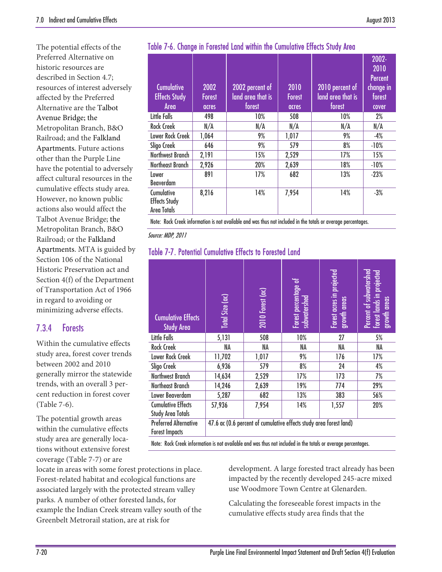The potential effects of the Preferred Alternative on historic resources are described in Section 4.7; resources of interest adversely affected by the Preferred Alternative are the Talbot Avenue Bridge; the Metropolitan Branch, B&O Railroad; and the Falkland Apartments. Future actions other than the Purple Line have the potential to adversely affect cultural resources in the cumulative effects study area. However, no known public actions also would affect the Talbot Avenue Bridge; the Metropolitan Branch, B&O Railroad; or the Falkland Apartments. MTA is guided by Section 106 of the National Historic Preservation act and Section 4(f) of the Department of Transportation Act of 1966 in regard to avoiding or minimizing adverse effects.

# 7.3.4 Forests

Within the cumulative effects study area, forest cover trends between 2002 and 2010 generally mirror the statewide trends, with an overall 3 percent reduction in forest cover [\(Table 7-6\)](#page-19-0).

The potential growth areas within the cumulative effects study area are generally locations without extensive forest coverage [\(Table 7-7\)](#page-19-1) or are

locate in areas with some forest protections in place. Forest-related habitat and ecological functions are associated largely with the protected stream valley parks. A number of other forested lands, for example the Indian Creek stream valley south of the Greenbelt Metrorail station, are at risk for

| <b>Cumulative</b><br><b>Effects Study</b><br>Area        | 2002<br><b>Forest</b><br>acres | 2002 percent of<br>land area that is<br>forest | 2010<br><b>Forest</b><br>acres | 2010 percent of<br>land area that is<br>forest | 2002-<br>2010<br><b>Percent</b><br>change in<br>forest<br>cover |
|----------------------------------------------------------|--------------------------------|------------------------------------------------|--------------------------------|------------------------------------------------|-----------------------------------------------------------------|
| Little Falls                                             | 498                            | 10%                                            | 508                            | 10%                                            | 2%                                                              |
| <b>Rock Creek</b>                                        | N/A                            | N/A                                            | N/A                            | N/A                                            | N/A                                                             |
| Lower Rock Creek                                         | 1,064                          | 9%                                             | 1,017                          | 9%                                             | $-4%$                                                           |
| Sligo Creek                                              | 646                            | 9%                                             | 579                            | 8%                                             | $-10%$                                                          |
| Northwest Branch                                         | 2,191                          | 15%                                            | 2,529                          | 17%                                            | 15%                                                             |
| Northeast Branch                                         | 2,926                          | 20%                                            | 2,639                          | 18%                                            | $-10%$                                                          |
| Lower<br>Beaverdam                                       | 891                            | 17%                                            | 682                            | 13%                                            | $-23%$                                                          |
| Cumulative<br><b>Effects Study</b><br><b>Area Totals</b> | 8,216                          | 14%                                            | 7,954                          | 14%                                            | $-3%$                                                           |

<span id="page-19-0"></span>Table 7-6. Change in Forested Land within the Cumulative Effects Study Area

Note: Rock Creek information is not available and was thus not included in the totals or average percentages.

Source: MDP, 2011

#### <span id="page-19-1"></span>Table 7-7. Potential Cumulative Effects to Forested Land

| <b>Cumulative Effects</b><br><b>Study Area</b>                                                                | Total Size (ac)                                                    | 2010 Forest (ac) | Forest percentage of<br>subwatershed | Forest acres in projected<br>growth areas | Percent of subwatershed<br>forest lands in projected<br>growth creas |
|---------------------------------------------------------------------------------------------------------------|--------------------------------------------------------------------|------------------|--------------------------------------|-------------------------------------------|----------------------------------------------------------------------|
| Little Falls                                                                                                  | 5,131                                                              | 508              | 10%                                  | 27                                        | 5%                                                                   |
| <b>Rock Creek</b>                                                                                             | ΝA                                                                 | NA               | NA                                   | ΝA                                        | ΝA                                                                   |
| Lower Rock Creek                                                                                              | 11,702                                                             | 1,017            | 9%                                   | 176                                       | 17%                                                                  |
| Sligo Creek                                                                                                   | 6,936                                                              | 579              | 8%                                   | 24                                        | 4%                                                                   |
| Northwest Branch                                                                                              | 14,634                                                             | 2,529            | 17%                                  | 173                                       | 7%                                                                   |
| <b>Northeast Branch</b>                                                                                       | 14,246                                                             | 2,639            | 19%                                  | 774                                       | 29%                                                                  |
| Lower Beaverdam                                                                                               | 5,287                                                              | 682              | 13%                                  | 383                                       | 56%                                                                  |
| <b>Cumulative Effects</b>                                                                                     | 57,936                                                             | 7,954            | 14%                                  | 1,557                                     | 20%                                                                  |
| <b>Study Area Totals</b>                                                                                      |                                                                    |                  |                                      |                                           |                                                                      |
| <b>Preferred Alternative</b><br><b>Forest Impacts</b>                                                         | 47.6 ac (0.6 percent of cumulative effects study area forest land) |                  |                                      |                                           |                                                                      |
| Note: Rock Creek information is not available and was thus not included in the totals or average percentages. |                                                                    |                  |                                      |                                           |                                                                      |

development. A large forested tract already has been impacted by the recently developed 245-acre mixed use Woodmore Town Centre at Glenarden.

Calculating the foreseeable forest impacts in the cumulative effects study area finds that the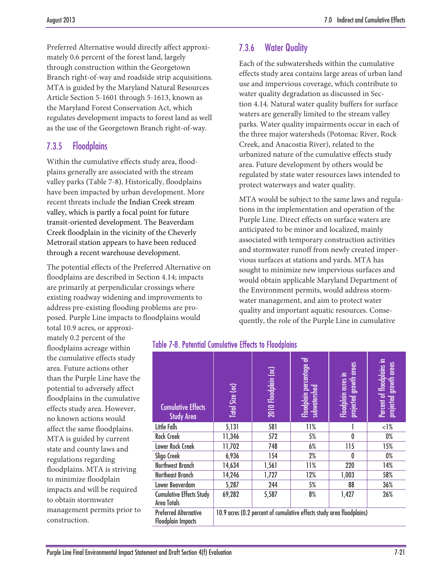Preferred Alternative would directly affect approximately 0.6 percent of the forest land, largely through construction within the Georgetown Branch right-of-way and roadside strip acquisitions. MTA is guided by the Maryland Natural Resources Article Section 5-1601 through 5-1613, known as the Maryland Forest Conservation Act, which regulates development impacts to forest land as well as the use of the Georgetown Branch right-of-way.

## 7.3.5 Floodplains

Within the cumulative effects study area, floodplains generally are associated with the stream valley parks [\(Table 7-8\)](#page-20-0). Historically, floodplains have been impacted by urban development. More recent threats include the Indian Creek stream valley, which is partly a focal point for future transit-oriented development. The Beaverdam Creek floodplain in the vicinity of the Cheverly Metrorail station appears to have been reduced through a recent warehouse development.

The potential effects of the Preferred Alternative on floodplains are described in Section 4.14; impacts are primarily at perpendicular crossings where existing roadway widening and improvements to address pre-existing flooding problems are proposed. Purple Line impacts to floodplains would total 10.9 acres, or approxi-

mately 0.2 percent of the floodplains acreage within the cumulative effects study area. Future actions other than the Purple Line have the potential to adversely affect floodplains in the cumulative effects study area. However, no known actions would affect the same floodplains. MTA is guided by current state and county laws and regulations regarding floodplains. MTA is striving to minimize floodplain impacts and will be required to obtain stormwater management permits prior to construction.

# 7.3.6 Water Quality

Each of the subwatersheds within the cumulative effects study area contains large areas of urban land use and impervious coverage, which contribute to water quality degradation as discussed in Section 4.14. Natural water quality buffers for surface waters are generally limited to the stream valley parks. Water quality impairments occur in each of the three major watersheds (Potomac River, Rock Creek, and Anacostia River), related to the urbanized nature of the cumulative effects study area. Future development by others would be regulated by state water resources laws intended to protect waterways and water quality.

MTA would be subject to the same laws and regulations in the implementation and operation of the Purple Line. Direct effects on surface waters are anticipated to be minor and localized, mainly associated with temporary construction activities and stormwater runoff from newly created impervious surfaces at stations and yards. MTA has sought to minimize new impervious surfaces and would obtain applicable Maryland Department of the Environment permits, would address stormwater management, and aim to protect water quality and important aquatic resources. Consequently, the role of the Purple Line in cumulative

| <b>Cumulative Effects</b><br><b>Study Area</b>            | Total Size (ac)                                                       | 2010 Floodplain (ac) | Floodplain percentage of<br>subwatershed | Floodplain acres in<br>projected growth areas | Percent of floodplains in<br>projected growth areas |
|-----------------------------------------------------------|-----------------------------------------------------------------------|----------------------|------------------------------------------|-----------------------------------------------|-----------------------------------------------------|
| Little Falls                                              | 5,131                                                                 | 581                  | 11%                                      |                                               | $<$ l%                                              |
| <b>Rock Creek</b>                                         | 11,346                                                                | 572                  | 5%                                       | 0                                             | $0\%$                                               |
| Lower Rock Creek                                          | 11,702                                                                | 748                  | 6%                                       | 115                                           | 15%                                                 |
| Sligo Creek                                               | 6,936                                                                 | 154                  | 2%                                       | 0                                             | $0\%$                                               |
| <b>Northwest Branch</b>                                   | 14,634                                                                | 1,561                | 11%                                      | 220                                           | 14%                                                 |
| Northeast Branch                                          | 14,246                                                                | 1,727                | 12%                                      | 1,003                                         | 58%                                                 |
| Lower Beaverdam                                           | 5,287                                                                 | 244                  | 5%                                       | 88                                            | 36%                                                 |
| <b>Cumulative Effects Study</b><br><b>Area Totals</b>     | 69,282                                                                | 5,587                | 8%                                       | 1,427                                         | 26%                                                 |
| <b>Preferred Alternative</b><br><b>Floodplain Impacts</b> | 10.9 acres (0.2 percent of cumulative effects study area floodplains) |                      |                                          |                                               |                                                     |

#### <span id="page-20-0"></span>Table 7-8. Potential Cumulative Effects to Floodplains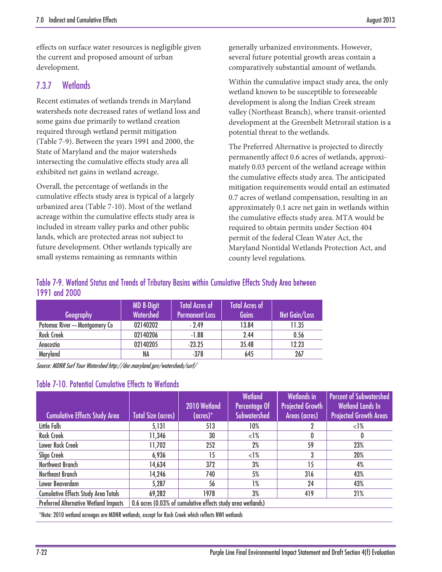effects on surface water resources is negligible given the current and proposed amount of urban development.

#### 7.3.7 Wetlands

Recent estimates of wetlands trends in Maryland watersheds note decreased rates of wetland loss and some gains due primarily to wetland creation required through wetland permit mitigation [\(Table 7-9\)](#page-21-0). Between the years 1991 and 2000, the State of Maryland and the major watersheds intersecting the cumulative effects study area all exhibited net gains in wetland acreage.

Overall, the percentage of wetlands in the cumulative effects study area is typical of a largely urbanized area [\(Table 7-10\)](#page-21-1). Most of the wetland acreage within the cumulative effects study area is included in stream valley parks and other public lands, which are protected areas not subject to future development. Other wetlands typically are small systems remaining as remnants within

generally urbanized environments. However, several future potential growth areas contain a comparatively substantial amount of wetlands.

Within the cumulative impact study area, the only wetland known to be susceptible to foreseeable development is along the Indian Creek stream valley (Northeast Branch), where transit-oriented development at the Greenbelt Metrorail station is a potential threat to the wetlands.

The Preferred Alternative is projected to directly permanently affect 0.6 acres of wetlands, approximately 0.03 percent of the wetland acreage within the cumulative effects study area. The anticipated mitigation requirements would entail an estimated 0.7 acres of wetland compensation, resulting in an approximately 0.1 acre net gain in wetlands within the cumulative effects study area. MTA would be required to obtain permits under Section 404 permit of the federal Clean Water Act, the Maryland Nontidal Wetlands Protection Act, and county level regulations.

#### <span id="page-21-0"></span>Table 7-9. Wetland Status and Trends of Tributary Basins within Cumulative Effects Study Area between 1991 and 2000

| Geography                     | <b>MD 8-Digit</b><br><b>Watershed</b> | <b>Total Acres of</b><br><b>Permanent Loss</b> | <b>Total Acres of</b><br><b>Gains</b> | Net Gain/Loss |
|-------------------------------|---------------------------------------|------------------------------------------------|---------------------------------------|---------------|
| Potomac River - Montgomery Co | 02140202                              | $-2.49$                                        | 13.84                                 | 11.35         |
| <b>Rock Creek</b>             | 02140206                              | $-1.88$                                        | 2.44                                  | 0.56          |
| Anacostia                     | 02140205                              | $-23.25$                                       | 35.48                                 | 12.23         |
| Maryland                      | NA                                    | $-378$                                         | 645                                   | 267           |

Source: MDNR Surf Your Watershe[d http://dnr.maryland.gov/watersheds/surf/](http://dnr.maryland.gov/watersheds/surf/)

#### <span id="page-21-1"></span>Table 7-10. Potential Cumulative Effects to Wetlands

| <b>Cumulative Effects Study Area</b>                                                                        | <b>Total Size (acres)</b> | 2010 Wetland<br>$(acres)^*$ | <b>Wetland</b><br>Percentage Of<br><b>Subwatershed</b> | <b>Wetlands in</b><br><b>Projected Growth</b><br>Areas (acres) | <b>Percent of Subwatershed</b><br><b>Wetland Lands In</b><br><b>Projected Growth Areas</b> |  |
|-------------------------------------------------------------------------------------------------------------|---------------------------|-----------------------------|--------------------------------------------------------|----------------------------------------------------------------|--------------------------------------------------------------------------------------------|--|
| Little Falls                                                                                                | 5,131                     | 513                         | 10%                                                    |                                                                | $\langle$ l%                                                                               |  |
| <b>Rock Creek</b>                                                                                           | 11,346                    | 30                          | <1%                                                    | 0                                                              | 0                                                                                          |  |
| Lower Rock Creek                                                                                            | 11,702                    | 252                         | 2%                                                     | 59                                                             | 23%                                                                                        |  |
| Sligo Creek                                                                                                 | 6,936                     | 15                          | $<$ l%                                                 | 3                                                              | 20%                                                                                        |  |
| Northwest Branch                                                                                            | 14,634                    | 372                         | 3%                                                     | 15                                                             | 4%                                                                                         |  |
| Northeast Branch                                                                                            | 14,246                    | 740                         | 5%                                                     | 316                                                            | 43%                                                                                        |  |
| Lower Beaverdam                                                                                             | 5,287                     | 56                          | 1%                                                     | 24                                                             | 43%                                                                                        |  |
| <b>Cumulative Effects Study Area Totals</b>                                                                 | 69,282                    | 1978                        | 3%                                                     | 419                                                            | 21%                                                                                        |  |
| 0.6 acres (0.03% of cumulative effects study area wetlands)<br><b>Preferred Alternative Wetland Impacts</b> |                           |                             |                                                        |                                                                |                                                                                            |  |
| *Note: 2010 wetland acreages are MDNR wetlands, except for Rock Creek which reflects NWI wetlands           |                           |                             |                                                        |                                                                |                                                                                            |  |

7-22 Purple Line Final Environmental Impact Statement and Draft Section 4(f) Evaluation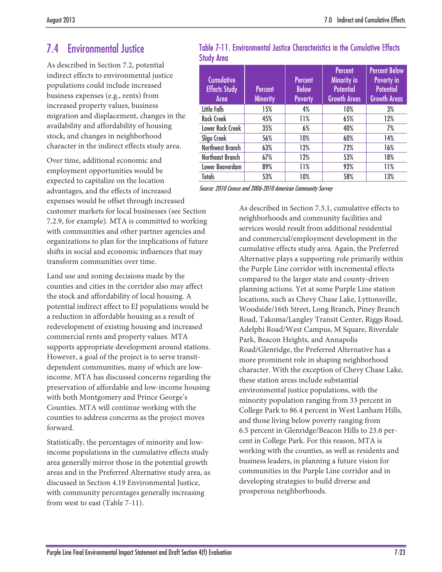# 7.4 Environmental Justice

As described in Section 7.2, potential indirect effects to environmental justice populations could include increased business expenses (e.g., rents) from increased property values, business migration and displacement, changes in the availability and affordability of housing stock, and changes in neighborhood character in the indirect effects study area.

Over time, additional economic and employment opportunities would be expected to capitalize on the location advantages, and the effects of increased

expenses would be offset through increased customer markets for local businesses (see Section 7.2.9, for example). MTA is committed to working with communities and other partner agencies and organizations to plan for the implications of future shifts in social and economic influences that may transform communities over time.

Land use and zoning decisions made by the counties and cities in the corridor also may affect the stock and affordability of local housing. A potential indirect effect to EJ populations would be a reduction in affordable housing as a result of redevelopment of existing housing and increased commercial rents and property values. MTA supports appropriate development around stations. However, a goal of the project is to serve transitdependent communities, many of which are lowincome. MTA has discussed concerns regarding the preservation of affordable and low-income housing with both Montgomery and Prince George's Counties. MTA will continue working with the counties to address concerns as the project moves forward.

Statistically, the percentages of minority and lowincome populations in the cumulative effects study area generally mirror those in the potential growth areas and in the Preferred Alternative study area, as discussed in Section 4.19 Environmental Justice, with community percentages generally increasing from west to east [\(Table 7-11\)](#page-22-0).

#### <span id="page-22-0"></span>Table 7-11. Environmental Justice Characteristics in the Cumulative Effects Study Area

| <b>Cumulative</b><br><b>Effects Study</b><br>Area | <b>Percent</b><br><b>Minority</b> | <b>Percent</b><br><b>Below</b><br><b>Poverty</b> | <b>Percent</b><br><b>Minority in</b><br><b>Potential</b><br><b>Growth Areas</b> | <b>Percent Below</b><br>Poverty in<br><b>Potential</b><br><b>Growth Areas</b> |
|---------------------------------------------------|-----------------------------------|--------------------------------------------------|---------------------------------------------------------------------------------|-------------------------------------------------------------------------------|
| Little Falls                                      | 15%                               | 4%                                               | 10%                                                                             | 3%                                                                            |
| <b>Rock Creek</b>                                 | 45%                               | 11%                                              | 65%                                                                             | 12%                                                                           |
| <b>Lower Rock Creek</b>                           | 35%                               | 6%                                               | 40%                                                                             | 7%                                                                            |
| Sligo Creek                                       | 56%                               | 10%                                              | 60%                                                                             | 14%                                                                           |
| Northwest Branch                                  | 63%                               | 12%                                              | 72%                                                                             | 16%                                                                           |
| Northeast Branch                                  | 67%                               | 12%                                              | 53%                                                                             | 18%                                                                           |
| Lower Beaverdam                                   | 89%                               | 11%                                              | 92%                                                                             | 11%                                                                           |
| <b>Totals</b>                                     | 53%                               | 10%                                              | 58%                                                                             | 13%                                                                           |

Source: 2010 Census and 2006-2010 American Community Survey

As described in Section 7.3.1, cumulative effects to neighborhoods and community facilities and services would result from additional residential and commercial/employment development in the cumulative effects study area. Again, the Preferred Alternative plays a supporting role primarily within the Purple Line corridor with incremental effects compared to the larger state and county-driven planning actions. Yet at some Purple Line station locations, such as Chevy Chase Lake, Lyttonsville, Woodside/16th Street, Long Branch, Piney Branch Road, Takoma/Langley Transit Center, Riggs Road, Adelphi Road/West Campus, M Square, Riverdale Park, Beacon Heights, and Annapolis Road/Glenridge, the Preferred Alternative has a more prominent role in shaping neighborhood character. With the exception of Chevy Chase Lake, these station areas include substantial environmental justice populations, with the minority population ranging from 33 percent in College Park to 86.4 percent in West Lanham Hills, and those living below poverty ranging from 6.5 percent in Glenridge/Beacon Hills to 23.6 percent in College Park. For this reason, MTA is working with the counties, as well as residents and business leaders, in planning a future vision for communities in the Purple Line corridor and in developing strategies to build diverse and prosperous neighborhoods.